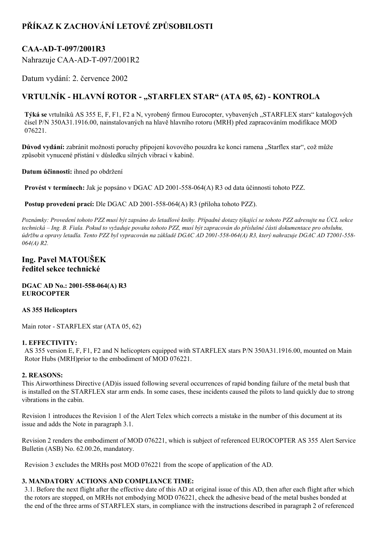# **PŘÍKAZ K ZACHOVÁNÍ LETOVÉ ZPŮSOBILOSTI**

## CAA-AD-T-097/2001R3

Nahrazuje CAA-AD-T-097/2001R2

Datum vydání: 2. července 2002

## **VRTULNÍK HLAVNÍ ROTOR "STARFLEX STAR" (ATA 05, 62) KONTROLA**

**Týká se** vrtulníků AS 355 E, F, F1, F2 a N, vyrobený firmou Eurocopter, vybavených "STARFLEX stars" katalogových čísel P/N 350A31.1916.00, nainstalovaných na hlavě hlavního rotoru (MRH) před zapracováním modifikace MOD 076221.

**Důvod vydání:** zabránit možnosti poruchy připojení kovového pouzdra ke konci ramena "Starflex star", což může způsobit vynucené přistání v důsledku silných vibrací v kabině.

**Datum účinnosti:** ihned po obdržení

**Provést v termínech:** Jak je popsáno v DGAC AD 2001-558-064(A) R3 od data účinnosti tohoto PZZ.

**Postup provedení prací:** Dle DGAC AD 2001-558-064(A) R3 (příloha tohoto PZZ).

Poznámky: Provedení tohoto PZZ musí být zapsáno do letadlové knihy. Případné dotazy týkající se tohoto PZZ adresujte na ÚCL sekce technická – Ing. B. Fiala. Pokud to vyžaduje povaha tohoto PZZ, musí být zapracován do příslušné části dokumentace pro obsluhu, údržbu a opravy letadla. Tento PZZ byl vypracován na základě DGAC AD 2001-558-064(A) R3, který nahrazuje DGAC AD T2001-558-*064(A) R2.*

### **Ing. Pavel MATOUŠEK ředitel sekce technické**

**DGAC AD No.: 2001558064(A) R3 EUROCOPTER**

#### **AS 355 Helicopters**

Main rotor - STARFLEX star (ATA 05, 62)

#### **1. EFFECTIVITY:**

AS 355 version E, F, F1, F2 and N helicopters equipped with STARFLEX stars P/N 350A31.1916.00, mounted on Main Rotor Hubs (MRH)prior to the embodiment of MOD 076221.

#### **2. REASONS:**

This Airworthiness Directive (AD)is issued following several occurrences of rapid bonding failure of the metal bush that is installed on the STARFLEX star arm ends. In some cases, these incidents caused the pilots to land quickly due to strong vibrations in the cabin.

Revision 1 introduces the Revision 1 of the Alert Telex which corrects a mistake in the number of this document at its issue and adds the Note in paragraph 3.1.

Revision 2 renders the embodiment of MOD 076221, which is subject of referenced EUROCOPTER AS 355 Alert Service Bulletin (ASB) No. 62.00.26, mandatory.

Revision 3 excludes the MRHs post MOD 076221 from the scope of application of the AD.

#### **3. MANDATORY ACTIONS AND COMPLIANCE TIME:**

3.1. Before the next flight after the effective date of this AD at original issue of this AD, then after each flight after which the rotors are stopped, on MRHs not embodying MOD 076221, check the adhesive bead of the metal bushes bonded at the end of the three arms of STARFLEX stars, in compliance with the instructions described in paragraph 2 of referenced